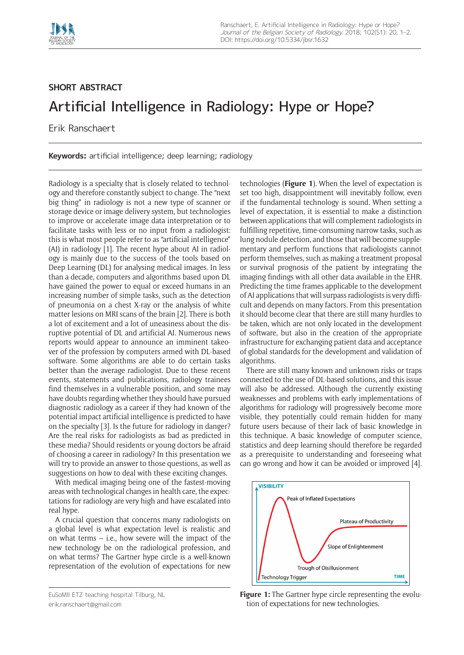

## **SHORT ABSTRACT** Artificial Intelligence in Radiology: Hype or Hope?

Erik Ranschaert

**Keywords:** artificial intelligence; deep learning; radiology

Radiology is a specialty that is closely related to technology and therefore constantly subject to change. The "next big thing" in radiology is not a new type of scanner or storage device or image delivery system, but technologies to improve or accelerate image data interpretation or to facilitate tasks with less or no input from a radiologist: this is what most people refer to as "artificial intelligence" (AI) in radiology [1]. The recent hype about AI in radiology is mainly due to the success of the tools based on Deep Learning (DL) for analysing medical images. In less than a decade, computers and algorithms based upon DL have gained the power to equal or exceed humans in an increasing number of simple tasks, such as the detection of pneumonia on a chest X-ray or the analysis of white matter lesions on MRI scans of the brain [2]. There is both a lot of excitement and a lot of uneasiness about the disruptive potential of DL and artificial AI. Numerous news reports would appear to announce an imminent takeover of the profession by computers armed with DL-based software. Some algorithms are able to do certain tasks better than the average radiologist. Due to these recent events, statements and publications, radiology trainees find themselves in a vulnerable position, and some may have doubts regarding whether they should have pursued diagnostic radiology as a career if they had known of the potential impact artificial intelligence is predicted to have on the specialty [3]. Is the future for radiology in danger? Are the real risks for radiologists as bad as predicted in these media? Should residents or young doctors be afraid of choosing a career in radiology? In this presentation we will try to provide an answer to those questions, as well as suggestions on how to deal with these exciting changes.

With medical imaging being one of the fastest-moving areas with technological changes in health care, the expectations for radiology are very high and have escalated into real hype.

A crucial question that concerns many radiologists on a global level is what expectation level is realistic and on what terms – i.e., how severe will the impact of the new technology be on the radiological profession, and on what terms? The Gartner hype circle is a well-known representation of the evolution of expectations for new

EuSoMII ETZ teaching hospital Tilburg, NL [erik.ranschaert@gmail.com](mailto:erik.ranschaert@gmail.com)

technologies (**Figure 1**). When the level of expectation is set too high, disappointment will inevitably follow, even if the fundamental technology is sound. When setting a level of expectation, it is essential to make a distinction between applications that will complement radiologists in fulfilling repetitive, time-consuming narrow tasks, such as lung nodule detection, and those that will become supplementary and perform functions that radiologists cannot perform themselves, such as making a treatment proposal or survival prognosis of the patient by integrating the imaging findings with all other data available in the EHR. Predicting the time frames applicable to the development of AI applications that will surpass radiologists is very difficult and depends on many factors. From this presentation it should become clear that there are still many hurdles to be taken, which are not only located in the development of software, but also in the creation of the appropriate infrastructure for exchanging patient data and acceptance of global standards for the development and validation of algorithms.

There are still many known and unknown risks or traps connected to the use of DL-based solutions, and this issue will also be addressed. Although the currently existing weaknesses and problems with early implementations of algorithms for radiology will progressively become more visible, they potentially could remain hidden for many future users because of their lack of basic knowledge in this technique. A basic knowledge of computer science, statistics and deep learning should therefore be regarded as a prerequisite to understanding and foreseeing what can go wrong and how it can be avoided or improved [4].



**Figure 1:** The Gartner hype circle representing the evolution of expectations for new technologies.